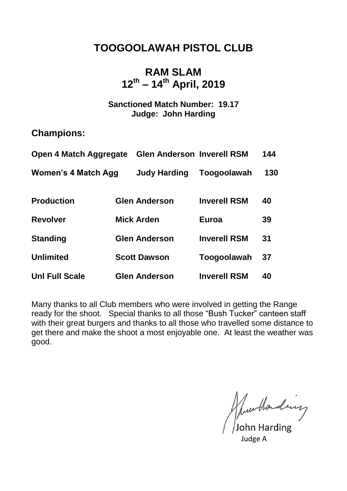## **TOOGOOLAWAH PISTOL CLUB**

### **RAM SLAM 12th – 14th April, 2019**

#### **Sanctioned Match Number: 19.17 Judge: John Harding**

#### **Champions:**

| <b>Open 4 Match Aggregate</b> | <b>Glen Anderson Inverell RSM</b> |                     | 144 |
|-------------------------------|-----------------------------------|---------------------|-----|
| Women's 4 Match Agg           | <b>Judy Harding</b>               | Toogoolawah         | 130 |
| <b>Production</b>             | <b>Glen Anderson</b>              | <b>Inverell RSM</b> | 40  |
| <b>Revolver</b>               | <b>Mick Arden</b>                 | Euroa               | 39  |
| <b>Standing</b>               | <b>Glen Anderson</b>              | <b>Inverell RSM</b> | 31  |
| <b>Unlimited</b>              | <b>Scott Dawson</b>               | Toogoolawah         | 37  |
| <b>Unl Full Scale</b>         | <b>Glen Anderson</b>              | <b>Inverell RSM</b> | 40  |

Many thanks to all Club members who were involved in getting the Range ready for the shoot. Special thanks to all those "Bush Tucker" canteen staff with their great burgers and thanks to all those who travelled some distance to get there and make the shoot a most enjoyable one. At least the weather was good.

Murthanding

Judge A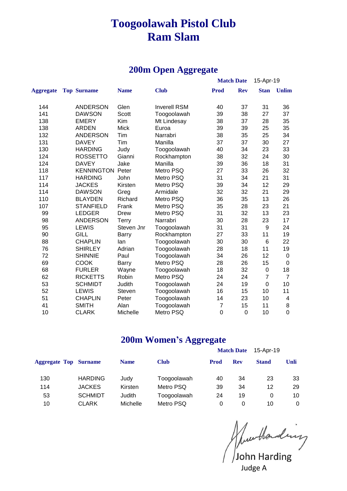# **Toogoolawah Pistol Club Ram Slam**

#### **200m Open Aggregate**

|                  |                         |             |                     |                | <b>Match Date</b> | 15-Apr-19      |                          |
|------------------|-------------------------|-------------|---------------------|----------------|-------------------|----------------|--------------------------|
| <b>Aggregate</b> | <b>Top Surname</b>      | <b>Name</b> | <b>Club</b>         | <b>Prod</b>    | <b>Rev</b>        | <b>Stan</b>    | <b>Unlim</b>             |
| 144              | <b>ANDERSON</b>         | Glen        | <b>Inverell RSM</b> | 40             | 37                | 31             | 36                       |
| 141              | <b>DAWSON</b>           | Scott       | Toogoolawah         | 39             | 38                | 27             | 37                       |
| 138              | <b>EMERY</b>            | Kim         | Mt Lindesay         | 38             | 37                | 28             | 35                       |
| 138              | <b>ARDEN</b>            | <b>Mick</b> | Euroa               | 39             | 39                | 25             | 35                       |
| 132              | <b>ANDERSON</b>         | Tim         | Narrabri            | 38             | 35                | 25             | 34                       |
| 131              | <b>DAVEY</b>            | Tim         | Manilla             | 37             | 37                | 30             | 27                       |
| 130              | <b>HARDING</b>          | Judy        | Toogoolawah         | 40             | 34                | 23             | 33                       |
| 124              | <b>ROSSETTO</b>         | Gianni      | Rockhampton         | 38             | 32                | 24             | 30                       |
| 124              | <b>DAVEY</b>            | Jake        | Manilla             | 39             | 36                | 18             | 31                       |
| 118              | <b>KENNINGTON Peter</b> |             | Metro PSQ           | 27             | 33                | 26             | 32                       |
| 117              | <b>HARDING</b>          | John        | Metro PSQ           | 31             | 34                | 21             | 31                       |
| 114              | <b>JACKES</b>           | Kirsten     | Metro PSQ           | 39             | 34                | 12             | 29                       |
| 114              | <b>DAWSON</b>           | Greg        | Armidale            | 32             | 32                | 21             | 29                       |
| 110              | <b>BLAYDEN</b>          | Richard     | Metro PSQ           | 36             | 35                | 13             | 26                       |
| 107              | <b>STANFIELD</b>        | Frank       | Metro PSQ           | 35             | 28                | 23             | 21                       |
| 99               | <b>LEDGER</b>           | Drew        | Metro PSQ           | 31             | 32                | 13             | 23                       |
| 98               | <b>ANDERSON</b>         | Terry       | Narrabri            | 30             | 28                | 23             | 17                       |
| 95               | <b>LEWIS</b>            | Steven Jnr  | Toogoolawah         | 31             | 31                | 9              | 24                       |
| 90               | <b>GILL</b>             | Barry       | Rockhampton         | 27             | 33                | 11             | 19                       |
| 88               | <b>CHAPLIN</b>          | lan         | Toogoolawah         | 30             | 30                | $\,6$          | 22                       |
| 76               | <b>SHIRLEY</b>          | Adrian      | Toogoolawah         | 28             | 18                | 11             | 19                       |
| 72               | <b>SHINNIE</b>          | Paul        | Toogoolawah         | 34             | 26                | 12             | $\pmb{0}$                |
| 69               | <b>COOK</b>             | Barry       | Metro PSQ           | 28             | 26                | 15             | $\pmb{0}$                |
| 68               | <b>FURLER</b>           | Wayne       | Toogoolawah         | 18             | 32                | 0              | 18                       |
| 62               | <b>RICKETTS</b>         | Robin       | Metro PSQ           | 24             | 24                | $\overline{7}$ | $\overline{7}$           |
| 53               | <b>SCHMIDT</b>          | Judith      | Toogoolawah         | 24             | 19                | $\mathbf 0$    | 10                       |
| 52               | <b>LEWIS</b>            | Steven      | Toogoolawah         | 16             | 15                | 10             | 11                       |
| 51               | <b>CHAPLIN</b>          | Peter       | Toogoolawah         | 14             | 23                | 10             | $\overline{\mathcal{A}}$ |
| 41               | <b>SMITH</b>            | Alan        | Toogoolawah         | $\overline{7}$ | 15                | 11             | 8                        |
| 10               | <b>CLARK</b>            | Michelle    | Metro PSQ           | $\mathbf 0$    | 0                 | 10             | $\mathbf 0$              |

#### **200m Women's Aggregate**

|                              |                |             |             |             | <b>Match Date</b> | 15-Apr-19    |      |
|------------------------------|----------------|-------------|-------------|-------------|-------------------|--------------|------|
| <b>Aggregate Top Surname</b> |                | <b>Name</b> | <b>Club</b> | <b>Prod</b> | <b>Rev</b>        | <b>Stand</b> | Unli |
| 130                          | <b>HARDING</b> | Judy        | Toogoolawah | 40          | 34                | 23           | 33   |
| 114                          | <b>JACKES</b>  | Kirsten     | Metro PSQ   | 39          | 34                | 12           | 29   |
| 53                           | <b>SCHMIDT</b> | Judith      | Toogoolawah | 24          | 19                |              | 10   |
| 10                           | CLARK          | Michelle    | Metro PSQ   | 0           | $\Omega$          | 10           | 0    |

John Harding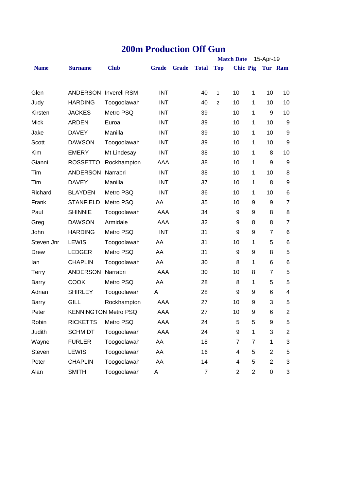|              |                   |                              |              |              |              |                | <b>Match Date</b>        |                | 15-Apr-19      |                         |
|--------------|-------------------|------------------------------|--------------|--------------|--------------|----------------|--------------------------|----------------|----------------|-------------------------|
| <b>Name</b>  | <b>Surname</b>    | <b>Club</b>                  | <b>Grade</b> | <b>Grade</b> | <b>Total</b> | <b>Top</b>     | <b>Chic Pig</b>          |                |                | Tur Ram                 |
| Glen         |                   | <b>ANDERSON Inverell RSM</b> | <b>INT</b>   |              | 40           | $\mathbf{1}$   | 10                       | 1              | 10             | 10                      |
| Judy         | <b>HARDING</b>    | Toogoolawah                  | INT          |              | 40           | $\overline{2}$ | 10                       | 1              | 10             | 10                      |
| Kirsten      | <b>JACKES</b>     | Metro PSQ                    | INT          |              | 39           |                | 10                       | 1              | 9              | 10                      |
| <b>Mick</b>  | <b>ARDEN</b>      | Euroa                        | INT          |              | 39           |                | 10                       | 1              | 10             | $\boldsymbol{9}$        |
| Jake         | <b>DAVEY</b>      | Manilla                      | <b>INT</b>   |              | 39           |                | 10                       | 1              | 10             | 9                       |
| Scott        | <b>DAWSON</b>     | Toogoolawah                  | INT          |              | 39           |                | 10                       | 1              | 10             | 9                       |
| Kim          | <b>EMERY</b>      | Mt Lindesay                  | <b>INT</b>   |              | 38           |                | 10                       | 1              | 8              | 10                      |
| Gianni       | <b>ROSSETTO</b>   | Rockhampton                  | AAA          |              | 38           |                | 10                       | 1              | 9              | 9                       |
| Tim          | ANDERSON Narrabri |                              | <b>INT</b>   |              | 38           |                | 10                       | 1              | 10             | 8                       |
| Tim          | <b>DAVEY</b>      | Manilla                      | <b>INT</b>   |              | 37           |                | 10                       | 1              | 8              | 9                       |
| Richard      | <b>BLAYDEN</b>    | Metro PSQ                    | <b>INT</b>   |              | 36           |                | 10                       | 1              | 10             | 6                       |
| Frank        | <b>STANFIELD</b>  | Metro PSQ                    | AA           |              | 35           |                | 10                       | 9              | 9              | $\overline{7}$          |
| Paul         | <b>SHINNIE</b>    | Toogoolawah                  | AAA          |              | 34           |                | 9                        | 9              | 8              | 8                       |
| Greg         | <b>DAWSON</b>     | Armidale                     | AAA          |              | 32           |                | 9                        | 8              | 8              | $\overline{7}$          |
| John         | <b>HARDING</b>    | Metro PSQ                    | <b>INT</b>   |              | 31           |                | 9                        | 9              | $\overline{7}$ | 6                       |
| Steven Jnr   | <b>LEWIS</b>      | Toogoolawah                  | AA           |              | 31           |                | 10                       | 1              | 5              | 6                       |
| <b>Drew</b>  | <b>LEDGER</b>     | Metro PSQ                    | AA           |              | 31           |                | 9                        | 9              | 8              | 5                       |
| lan          | <b>CHAPLIN</b>    | Toogoolawah                  | AA           |              | 30           |                | 8                        | 1              | 6              | 6                       |
| <b>Terry</b> | ANDERSON          | Narrabri                     | AAA          |              | 30           |                | 10                       | 8              | $\overline{7}$ | 5                       |
| <b>Barry</b> | <b>COOK</b>       | Metro PSQ                    | AA           |              | 28           |                | 8                        | 1              | 5              | 5                       |
| Adrian       | <b>SHIRLEY</b>    | Toogoolawah                  | A            |              | 28           |                | 9                        | 9              | 6              | 4                       |
| <b>Barry</b> | <b>GILL</b>       | Rockhampton                  | AAA          |              | 27           |                | 10                       | 9              | 3              | 5                       |
| Peter        |                   | <b>KENNINGTON Metro PSQ</b>  | AAA          |              | 27           |                | 10                       | 9              | 6              | $\overline{2}$          |
| Robin        | <b>RICKETTS</b>   | Metro PSQ                    | AAA          |              | 24           |                | 5                        | 5              | 9              | 5                       |
| Judith       | <b>SCHMIDT</b>    | Toogoolawah                  | AAA          |              | 24           |                | 9                        | 1              | 3              | $\overline{\mathbf{c}}$ |
| Wayne        | <b>FURLER</b>     | Toogoolawah                  | AA           |              | 18           |                | $\overline{7}$           | $\overline{7}$ | 1              | 3                       |
| Steven       | LEWIS             | Toogoolawah                  | AA           |              | 16           |                | $\overline{4}$           | 5              | $\overline{2}$ | 5                       |
| Peter        | <b>CHAPLIN</b>    | Toogoolawah                  | AA           |              | 14           |                | $\overline{\mathcal{A}}$ | 5              | $\overline{2}$ | 3                       |
| Alan         | <b>SMITH</b>      | Toogoolawah                  | Α            |              | 7            |                | $\overline{2}$           | $\overline{c}$ | 0              | 3                       |

## **200m Production Off Gun**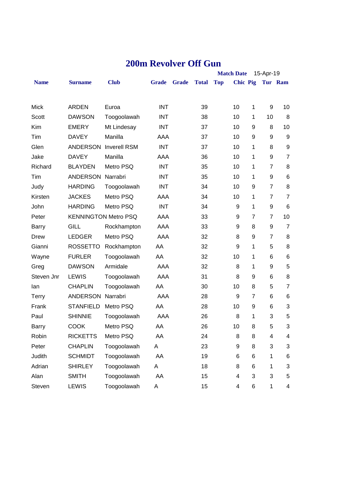| <b>Match Date</b> |                          |                              |              |              |              | 15-Apr-19  |                         |                |                         |                  |
|-------------------|--------------------------|------------------------------|--------------|--------------|--------------|------------|-------------------------|----------------|-------------------------|------------------|
| <b>Name</b>       | <b>Surname</b>           | <b>Club</b>                  | <b>Grade</b> | <b>Grade</b> | <b>Total</b> | <b>Top</b> | <b>Chic Pig</b>         |                |                         | Tur Ram          |
|                   |                          |                              |              |              |              |            |                         |                |                         |                  |
| <b>Mick</b>       | <b>ARDEN</b>             | Euroa                        | <b>INT</b>   |              | 39           |            | 10                      | 1              | 9                       | 10               |
| Scott             | <b>DAWSON</b>            | Toogoolawah                  | <b>INT</b>   |              | 38           |            | 10                      | 1              | 10                      | 8                |
| Kim               | <b>EMERY</b>             | Mt Lindesay                  | <b>INT</b>   |              | 37           |            | 10                      | 9              | 8                       | 10               |
| Tim               | <b>DAVEY</b>             | Manilla                      | AAA          |              | 37           |            | 10                      | 9              | 9                       | 9                |
| Glen              |                          | <b>ANDERSON Inverell RSM</b> | <b>INT</b>   |              | 37           |            | 10                      | 1              | 8                       | $\boldsymbol{9}$ |
| Jake              | <b>DAVEY</b>             | Manilla                      | AAA          |              | 36           |            | 10                      | 1              | 9                       | $\overline{7}$   |
| Richard           | <b>BLAYDEN</b>           | Metro PSQ                    | <b>INT</b>   |              | 35           |            | 10                      | 1              | $\overline{7}$          | 8                |
| Tim               | <b>ANDERSON Narrabri</b> |                              | <b>INT</b>   |              | 35           |            | 10                      | 1              | 9                       | 6                |
| Judy              | <b>HARDING</b>           | Toogoolawah                  | <b>INT</b>   |              | 34           |            | 10                      | 9              | $\overline{7}$          | 8                |
| Kirsten           | <b>JACKES</b>            | Metro PSQ                    | AAA          |              | 34           |            | 10                      | 1              | $\overline{7}$          | $\overline{7}$   |
| John              | <b>HARDING</b>           | Metro PSQ                    | <b>INT</b>   |              | 34           |            | 9                       | 1              | 9                       | 6                |
| Peter             |                          | <b>KENNINGTON Metro PSQ</b>  | AAA          |              | 33           |            | 9                       | $\overline{7}$ | $\overline{7}$          | 10               |
| <b>Barry</b>      | GILL                     | Rockhampton                  | AAA          |              | 33           |            | 9                       | 8              | 9                       | $\overline{7}$   |
| <b>Drew</b>       | <b>LEDGER</b>            | Metro PSQ                    | AAA          |              | 32           |            | 8                       | 9              | $\overline{7}$          | 8                |
| Gianni            | <b>ROSSETTO</b>          | Rockhampton                  | AA           |              | 32           |            | 9                       | 1              | 5                       | 8                |
| Wayne             | <b>FURLER</b>            | Toogoolawah                  | AA           |              | 32           |            | 10                      | 1              | 6                       | 6                |
| Greg              | <b>DAWSON</b>            | Armidale                     | AAA          |              | 32           |            | 8                       | 1              | 9                       | 5                |
| Steven Jnr        | <b>LEWIS</b>             | Toogoolawah                  | AAA          |              | 31           |            | 8                       | 9              | 6                       | 8                |
| lan               | <b>CHAPLIN</b>           | Toogoolawah                  | AA           |              | 30           |            | 10                      | 8              | 5                       | $\overline{7}$   |
| <b>Terry</b>      | ANDERSON Narrabri        |                              | <b>AAA</b>   |              | 28           |            | 9                       | 7              | 6                       | 6                |
| Frank             | <b>STANFIELD</b>         | Metro PSQ                    | AA           |              | 28           |            | 10                      | 9              | 6                       | 3                |
| Paul              | <b>SHINNIE</b>           | Toogoolawah                  | AAA          |              | 26           |            | 8                       | 1              | 3                       | 5                |
| Barry             | <b>COOK</b>              | Metro PSQ                    | AA           |              | 26           |            | 10                      | 8              | 5                       | 3                |
| Robin             | <b>RICKETTS</b>          | Metro PSQ                    | AA           |              | 24           |            | $\, 8$                  | 8              | $\overline{\mathbf{4}}$ | 4                |
| Peter             | <b>CHAPLIN</b>           | Toogoolawah                  | A            |              | 23           |            | 9                       | 8              | 3                       | 3                |
| Judith            | <b>SCHMIDT</b>           | Toogoolawah                  | AA           |              | 19           |            | 6                       | 6              | 1                       | 6                |
| Adrian            | <b>SHIRLEY</b>           | Toogoolawah                  | A            |              | 18           |            | 8                       | 6              | 1                       | 3                |
| Alan              | <b>SMITH</b>             | Toogoolawah                  | AA           |              | 15           |            | $\overline{\mathbf{4}}$ | 3              | 3                       | 5                |
| Steven            | LEWIS                    | Toogoolawah                  | Α            |              | 15           |            | 4                       | 6              | 1                       | 4                |

#### **200m Revolver Off Gun**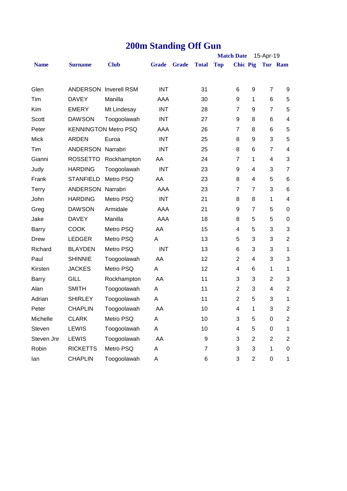# **200m Standing Off Gun**

|              |                   |                              |              |              |              |            | <b>Match Date</b> |                | 15-Apr-19      |                          |
|--------------|-------------------|------------------------------|--------------|--------------|--------------|------------|-------------------|----------------|----------------|--------------------------|
| <b>Name</b>  | <b>Surname</b>    | <b>Club</b>                  | <b>Grade</b> | <b>Grade</b> | <b>Total</b> | <b>Top</b> | <b>Chic Pig</b>   |                |                | Tur Ram                  |
|              |                   |                              |              |              |              |            |                   |                |                |                          |
| Glen         |                   | <b>ANDERSON Inverell RSM</b> | <b>INT</b>   |              | 31           |            | 6                 | 9              | $\overline{7}$ | 9                        |
| Tim          | <b>DAVEY</b>      | Manilla                      | AAA          |              | 30           |            | 9                 | 1              | 6              | 5                        |
| Kim          | <b>EMERY</b>      | Mt Lindesay                  | <b>INT</b>   |              | 28           |            | $\overline{7}$    | 9              | $\overline{7}$ | 5                        |
| Scott        | <b>DAWSON</b>     | Toogoolawah                  | <b>INT</b>   |              | 27           |            | 9                 | 8              | 6              | $\overline{\mathcal{A}}$ |
| Peter        |                   | <b>KENNINGTON Metro PSQ</b>  | AAA          |              | 26           |            | $\overline{7}$    | 8              | 6              | 5                        |
| Mick         | <b>ARDEN</b>      | Euroa                        | <b>INT</b>   |              | 25           |            | 8                 | 9              | 3              | 5                        |
| Tim          | ANDERSON Narrabri |                              | <b>INT</b>   |              | 25           |            | 8                 | 6              | $\overline{7}$ | 4                        |
| Gianni       | <b>ROSSETTO</b>   | Rockhampton                  | AA           |              | 24           |            | $\overline{7}$    | 1              | 4              | 3                        |
| Judy         | <b>HARDING</b>    | Toogoolawah                  | <b>INT</b>   |              | 23           |            | 9                 | 4              | 3              | $\overline{7}$           |
| Frank        | <b>STANFIELD</b>  | Metro PSQ                    | AA           |              | 23           |            | 8                 | 4              | 5              | 6                        |
| <b>Terry</b> | ANDERSON Narrabri |                              | AAA          |              | 23           |            | $\overline{7}$    | $\overline{7}$ | 3              | 6                        |
| John         | <b>HARDING</b>    | Metro PSQ                    | <b>INT</b>   |              | 21           |            | 8                 | 8              | $\mathbf{1}$   | 4                        |
| Greg         | <b>DAWSON</b>     | Armidale                     | AAA          |              | 21           |            | 9                 | $\overline{7}$ | 5              | $\boldsymbol{0}$         |
| Jake         | <b>DAVEY</b>      | Manilla                      | AAA          |              | 18           |            | 8                 | 5              | 5              | $\pmb{0}$                |
| <b>Barry</b> | <b>COOK</b>       | Metro PSQ                    | AA           |              | 15           |            | 4                 | 5              | 3              | 3                        |
| Drew         | <b>LEDGER</b>     | Metro PSQ                    | A            |              | 13           |            | 5                 | 3              | 3              | $\overline{2}$           |
| Richard      | <b>BLAYDEN</b>    | Metro PSQ                    | <b>INT</b>   |              | 13           |            | 6                 | 3              | 3              | $\mathbf{1}$             |
| Paul         | <b>SHINNIE</b>    | Toogoolawah                  | AA           |              | 12           |            | $\overline{2}$    | 4              | 3              | 3                        |
| Kirsten      | <b>JACKES</b>     | Metro PSQ                    | Α            |              | 12           |            | $\overline{4}$    | 6              | 1              | $\mathbf{1}$             |
| <b>Barry</b> | <b>GILL</b>       | Rockhampton                  | AA           |              | 11           |            | 3                 | 3              | $\overline{2}$ | 3                        |
| Alan         | <b>SMITH</b>      | Toogoolawah                  | Α            |              | 11           |            | 2                 | 3              | 4              | $\overline{2}$           |
| Adrian       | <b>SHIRLEY</b>    | Toogoolawah                  | A            |              | 11           |            | $\overline{2}$    | 5              | 3              | $\mathbf{1}$             |
| Peter        | <b>CHAPLIN</b>    | Toogoolawah                  | AA           |              | 10           |            | 4                 | 1              | 3              | $\overline{c}$           |
| Michelle     | <b>CLARK</b>      | Metro PSQ                    | Α            |              | 10           |            | 3                 | 5              | 0              | $\overline{c}$           |
| Steven       | LEWIS             | Toogoolawah                  | A            |              | 10           |            | 4                 | 5              | 0              | $\mathbf{1}$             |
| Steven Jnr   | <b>LEWIS</b>      | Toogoolawah                  | AA           |              | 9            |            | 3                 | $\mathbf{2}$   | $\overline{2}$ | $\overline{2}$           |
| Robin        | <b>RICKETTS</b>   | Metro PSQ                    | Α            |              | 7            |            | 3                 | 3              | 1              | $\pmb{0}$                |
| lan          | <b>CHAPLIN</b>    | Toogoolawah                  | Α            |              | 6            |            | 3                 | $\overline{c}$ | 0              | $\mathbf{1}$             |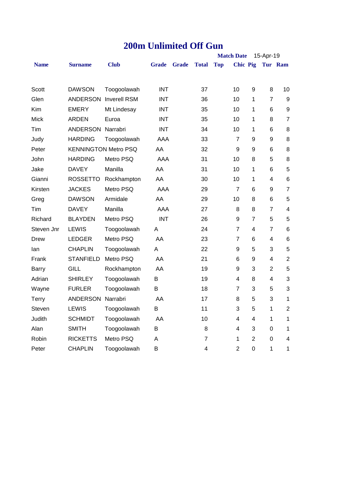|  | <b>200m Unlimited Off Gun</b> |  |  |
|--|-------------------------------|--|--|
|--|-------------------------------|--|--|

|              |                             | <b>Match Date</b><br>15-Apr-19 |              |              |              |            |                 |                |                |                          |
|--------------|-----------------------------|--------------------------------|--------------|--------------|--------------|------------|-----------------|----------------|----------------|--------------------------|
| <b>Name</b>  | <b>Surname</b>              | <b>Club</b>                    | <b>Grade</b> | <b>Grade</b> | <b>Total</b> | <b>Top</b> | <b>Chic Pig</b> |                |                | Tur Ram                  |
|              |                             |                                |              |              |              |            |                 |                |                |                          |
| Scott        | <b>DAWSON</b>               | Toogoolawah                    | <b>INT</b>   |              | 37           |            | 10              | 9              | 8              | 10                       |
| Glen         |                             | <b>ANDERSON Inverell RSM</b>   | <b>INT</b>   |              | 36           |            | 10              | 1              | $\overline{7}$ | $\boldsymbol{9}$         |
| Kim          | <b>EMERY</b>                | Mt Lindesay                    | <b>INT</b>   |              | 35           |            | 10              | 1              | 6              | 9                        |
| Mick         | ARDEN                       | Euroa                          | <b>INT</b>   |              | 35           |            | 10              | 1              | 8              | $\overline{7}$           |
| Tim          | ANDERSON Narrabri           |                                | <b>INT</b>   |              | 34           |            | 10              | 1              | 6              | 8                        |
| Judy         | <b>HARDING</b>              | Toogoolawah                    | AAA          |              | 33           |            | $\overline{7}$  | 9              | 9              | 8                        |
| Peter        | <b>KENNINGTON Metro PSQ</b> |                                | AA           |              | 32           |            | $9$             | 9              | 6              | 8                        |
| John         | <b>HARDING</b>              | Metro PSQ                      | AAA          |              | 31           |            | 10              | 8              | 5              | 8                        |
| Jake         | <b>DAVEY</b>                | Manilla                        | AA           |              | 31           |            | 10              | 1              | 6              | 5                        |
| Gianni       | ROSSETTO                    | Rockhampton                    | AA           |              | 30           |            | 10              | 1              | 4              | 6                        |
| Kirsten      | <b>JACKES</b>               | Metro PSQ                      | AAA          |              | 29           |            | $\overline{7}$  | 6              | 9              | $\overline{7}$           |
| Greg         | <b>DAWSON</b>               | Armidale                       | AA           |              | 29           |            | 10              | 8              | 6              | 5                        |
| Tim          | <b>DAVEY</b>                | Manilla                        | AAA          |              | 27           |            | 8               | 8              | $\overline{7}$ | $\overline{\mathbf{4}}$  |
| Richard      | <b>BLAYDEN</b>              | Metro PSQ                      | <b>INT</b>   |              | 26           |            | 9               | $\overline{7}$ | 5              | 5                        |
| Steven Jnr   | LEWIS                       | Toogoolawah                    | A            |              | 24           |            | $\overline{7}$  | 4              | $\overline{7}$ | 6                        |
| Drew         | <b>LEDGER</b>               | Metro PSQ                      | AA           |              | 23           |            | $\overline{7}$  | 6              | 4              | 6                        |
| lan          | <b>CHAPLIN</b>              | Toogoolawah                    | Α            |              | 22           |            | 9               | 5              | 3              | 5                        |
| Frank        | <b>STANFIELD</b>            | Metro PSQ                      | AA           |              | 21           |            | 6               | 9              | 4              | $\overline{2}$           |
| Barry        | <b>GILL</b>                 | Rockhampton                    | AA           |              | 19           |            | 9               | 3              | $\overline{2}$ | 5                        |
| Adrian       | <b>SHIRLEY</b>              | Toogoolawah                    | В            |              | 19           |            | 4               | 8              | 4              | 3                        |
| Wayne        | <b>FURLER</b>               | Toogoolawah                    | В            |              | 18           |            | $\overline{7}$  | 3              | 5              | 3                        |
| <b>Terry</b> | ANDERSON Narrabri           |                                | AA           |              | 17           |            | 8               | 5              | 3              | 1                        |
| Steven       | <b>LEWIS</b>                | Toogoolawah                    | B            |              | 11           |            | 3               | 5              | 1              | $\overline{2}$           |
| Judith       | <b>SCHMIDT</b>              | Toogoolawah                    | AA           |              | 10           |            | 4               | 4              | 1              | 1                        |
| Alan         | <b>SMITH</b>                | Toogoolawah                    | В            |              | 8            |            | 4               | 3              | 0              | 1                        |
| Robin        | <b>RICKETTS</b>             | Metro PSQ                      | Α            |              | 7            |            | 1               | 2              | 0              | $\overline{\mathcal{A}}$ |
| Peter        | <b>CHAPLIN</b>              | Toogoolawah                    | В            |              | 4            |            | $\overline{2}$  | $\mathbf 0$    | 1              | 1                        |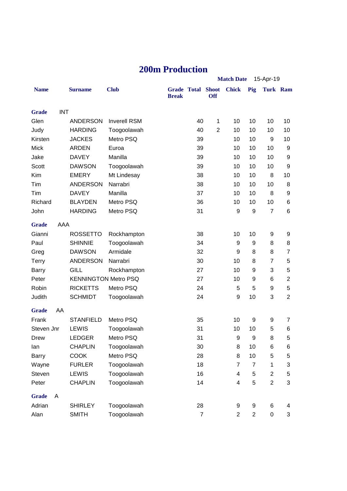|  | <b>200m Production</b> |
|--|------------------------|
|  |                        |

|              |            |                             |                     |              |                    |                            | <b>Match Date</b> | 15-Apr-19      |                |                |
|--------------|------------|-----------------------------|---------------------|--------------|--------------------|----------------------------|-------------------|----------------|----------------|----------------|
| <b>Name</b>  |            | <b>Surname</b>              | <b>Club</b>         | <b>Break</b> | <b>Grade Total</b> | <b>Shoot</b><br><b>Off</b> | <b>Chick</b>      | Pig            |                | Turk Ram       |
| <b>Grade</b> | <b>INT</b> |                             |                     |              |                    |                            |                   |                |                |                |
| Glen         |            | <b>ANDERSON</b>             | <b>Inverell RSM</b> |              | 40                 | 1                          | 10                | 10             | 10             | 10             |
| Judy         |            | <b>HARDING</b>              | Toogoolawah         |              | 40                 | $\overline{2}$             | 10                | 10             | 10             | 10             |
| Kirsten      |            | <b>JACKES</b>               | Metro PSQ           |              | 39                 |                            | 10                | 10             | 9              | 10             |
| <b>Mick</b>  |            | <b>ARDEN</b>                | Euroa               |              | 39                 |                            | 10                | 10             | 10             | 9              |
| Jake         |            | <b>DAVEY</b>                | Manilla             |              | 39                 |                            | 10                | 10             | 10             | 9              |
| Scott        |            | <b>DAWSON</b>               | Toogoolawah         |              | 39                 |                            | 10                | 10             | 10             | 9              |
| Kim          |            | <b>EMERY</b>                | Mt Lindesay         |              | 38                 |                            | 10                | 10             | 8              | 10             |
| Tim          |            | <b>ANDERSON</b>             | Narrabri            |              | 38                 |                            | 10                | 10             | 10             | 8              |
| Tim          |            | <b>DAVEY</b>                | Manilla             |              | 37                 |                            | 10                | 10             | 8              | 9              |
| Richard      |            | <b>BLAYDEN</b>              | Metro PSQ           |              | 36                 |                            | 10                | 10             | 10             | 6              |
| John         |            | <b>HARDING</b>              | Metro PSQ           |              | 31                 |                            | 9                 | 9              | $\overline{7}$ | 6              |
| <b>Grade</b> | AAA        |                             |                     |              |                    |                            |                   |                |                |                |
| Gianni       |            | <b>ROSSETTO</b>             | Rockhampton         |              | 38                 |                            | 10                | 10             | 9              | 9              |
| Paul         |            | <b>SHINNIE</b>              | Toogoolawah         |              | 34                 |                            | 9                 | 9              | 8              | 8              |
| Greg         |            | <b>DAWSON</b>               | Armidale            |              | 32                 |                            | 9                 | 8              | 8              | $\overline{7}$ |
| <b>Terry</b> |            | <b>ANDERSON</b>             | Narrabri            |              | 30                 |                            | 10                | 8              | 7              | 5              |
| <b>Barry</b> |            | <b>GILL</b>                 | Rockhampton         |              | 27                 |                            | 10                | 9              | 3              | 5              |
| Peter        |            | <b>KENNINGTON Metro PSQ</b> |                     |              | 27                 |                            | 10                | 9              | 6              | $\mathbf{2}$   |
| Robin        |            | <b>RICKETTS</b>             | Metro PSQ           |              | 24                 |                            | 5                 | 5              | 9              | 5              |
| Judith       |            | <b>SCHMIDT</b>              | Toogoolawah         |              | 24                 |                            | 9                 | 10             | 3              | $\overline{2}$ |
| <b>Grade</b> | AA         |                             |                     |              |                    |                            |                   |                |                |                |
| Frank        |            | <b>STANFIELD</b>            | Metro PSQ           |              | 35                 |                            | 10                | 9              | 9              | 7              |
| Steven Jnr   |            | <b>LEWIS</b>                | Toogoolawah         |              | 31                 |                            | 10                | 10             | 5              | 6              |
| Drew         |            | LEDGER                      | Metro PSQ           |              | 31                 |                            | 9                 | 9              | 8              | 5              |
| lan          |            | <b>CHAPLIN</b>              | Toogoolawah         |              | 30                 |                            | 8                 | 10             | 6              | 6              |
| <b>Barry</b> |            | <b>COOK</b>                 | Metro PSQ           |              | 28                 |                            | 8                 | 10             | 5              | 5              |
| Wayne        |            | <b>FURLER</b>               | Toogoolawah         |              | 18                 |                            | $\overline{7}$    | $\overline{7}$ | 1              | 3              |
| Steven       |            | <b>LEWIS</b>                | Toogoolawah         |              | 16                 |                            | 4                 | 5              | 2              | 5              |
| Peter        |            | <b>CHAPLIN</b>              | Toogoolawah         |              | 14                 |                            | 4                 | 5              | $\overline{2}$ | 3              |
| <b>Grade</b> | A          |                             |                     |              |                    |                            |                   |                |                |                |
| Adrian       |            | <b>SHIRLEY</b>              | Toogoolawah         |              | 28                 |                            | 9                 | 9              | 6              | 4              |
| Alan         |            | <b>SMITH</b>                | Toogoolawah         |              | $\overline{7}$     |                            | $\overline{c}$    | $\overline{c}$ | 0              | 3              |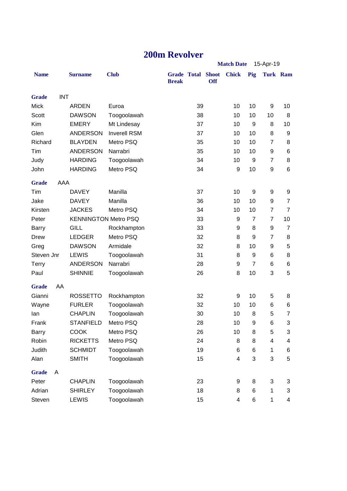#### **200m Revolver**

|              |            |                             |                     |                                          |    |            | <b>Match Date</b>       |                | 15-Apr-19        |                 |
|--------------|------------|-----------------------------|---------------------|------------------------------------------|----|------------|-------------------------|----------------|------------------|-----------------|
| <b>Name</b>  |            | <b>Surname</b>              | <b>Club</b>         | <b>Grade Total Shoot</b><br><b>Break</b> |    | <b>Off</b> | <b>Chick</b>            | Pig            |                  | <b>Turk Ram</b> |
| <b>Grade</b> | <b>INT</b> |                             |                     |                                          |    |            |                         |                |                  |                 |
| <b>Mick</b>  |            | <b>ARDEN</b>                | Euroa               |                                          | 39 |            | 10                      | 10             | 9                | 10              |
| Scott        |            | <b>DAWSON</b>               | Toogoolawah         |                                          | 38 |            | 10                      | 10             | 10               | 8               |
| Kim          |            | <b>EMERY</b>                | Mt Lindesay         |                                          | 37 |            | 10                      | 9              | 8                | 10              |
| Glen         |            | <b>ANDERSON</b>             | <b>Inverell RSM</b> |                                          | 37 |            | 10                      | 10             | 8                | 9               |
| Richard      |            | <b>BLAYDEN</b>              | Metro PSQ           |                                          | 35 |            | 10                      | 10             | $\overline{7}$   | 8               |
| Tim          |            | <b>ANDERSON</b>             | Narrabri            |                                          | 35 |            | 10                      | 10             | 9                | 6               |
| Judy         |            | <b>HARDING</b>              | Toogoolawah         |                                          | 34 |            | 10                      | 9              | $\overline{7}$   | 8               |
| John         |            | <b>HARDING</b>              | Metro PSQ           |                                          | 34 |            | 9                       | 10             | $\boldsymbol{9}$ | 6               |
| <b>Grade</b> | AAA        |                             |                     |                                          |    |            |                         |                |                  |                 |
| Tim          |            | <b>DAVEY</b>                | Manilla             |                                          | 37 |            | 10                      | 9              | 9                | 9               |
| Jake         |            | <b>DAVEY</b>                | Manilla             |                                          | 36 |            | 10                      | 10             | 9                | 7               |
| Kirsten      |            | <b>JACKES</b>               | Metro PSQ           |                                          | 34 |            | 10                      | 10             | $\overline{7}$   | $\overline{7}$  |
| Peter        |            | <b>KENNINGTON Metro PSQ</b> |                     |                                          | 33 |            | 9                       | $\overline{7}$ | $\overline{7}$   | 10              |
| <b>Barry</b> |            | <b>GILL</b>                 | Rockhampton         |                                          | 33 |            | 9                       | 8              | 9                | $\overline{7}$  |
| Drew         |            | <b>LEDGER</b>               | Metro PSQ           |                                          | 32 |            | 8                       | 9              | $\overline{7}$   | 8               |
| Greg         |            | <b>DAWSON</b>               | Armidale            |                                          | 32 |            | 8                       | 10             | 9                | 5               |
| Steven Jnr   |            | <b>LEWIS</b>                | Toogoolawah         |                                          | 31 |            | 8                       | 9              | 6                | 8               |
| <b>Terry</b> |            | <b>ANDERSON</b>             | Narrabri            |                                          | 28 |            | 9                       | $\overline{7}$ | 6                | 6               |
| Paul         |            | <b>SHINNIE</b>              | Toogoolawah         |                                          | 26 |            | 8                       | 10             | 3                | 5               |
| <b>Grade</b> | AA         |                             |                     |                                          |    |            |                         |                |                  |                 |
| Gianni       |            | <b>ROSSETTO</b>             | Rockhampton         |                                          | 32 |            | 9                       | 10             | 5                | 8               |
| Wayne        |            | <b>FURLER</b>               | Toogoolawah         |                                          | 32 |            | 10                      | 10             | 6                | 6               |
| lan          |            | <b>CHAPLIN</b>              | Toogoolawah         |                                          | 30 |            | 10                      | 8              | 5                | $\overline{7}$  |
| Frank        |            | <b>STANFIELD</b>            | Metro PSQ           |                                          | 28 |            | 10                      | 9              | 6                | 3               |
| Barry        |            | <b>COOK</b>                 | Metro PSQ           |                                          | 26 |            | 10                      | 8              | 5                | 3               |
| Robin        |            | <b>RICKETTS</b>             | Metro PSQ           |                                          | 24 |            | 8                       | 8              | 4                | 4               |
| Judith       |            | <b>SCHMIDT</b>              | Toogoolawah         |                                          | 19 |            | 6                       | 6              | 1                | 6               |
| Alan         |            | <b>SMITH</b>                | Toogoolawah         |                                          | 15 |            | 4                       | 3              | 3                | 5               |
| <b>Grade</b> | A          |                             |                     |                                          |    |            |                         |                |                  |                 |
| Peter        |            | <b>CHAPLIN</b>              | Toogoolawah         |                                          | 23 |            | 9                       | 8              | 3                | 3               |
| Adrian       |            | <b>SHIRLEY</b>              | Toogoolawah         |                                          | 18 |            | 8                       | 6              | 1                | 3               |
| Steven       |            | <b>LEWIS</b>                | Toogoolawah         |                                          | 15 |            | $\overline{\mathbf{4}}$ | 6              | 1                | 4               |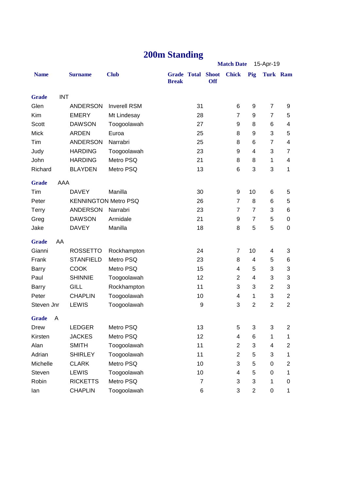### **200m Standing**

|                   |            |                             |                     | <b>Match Date</b><br>15-Apr-19           |                |                |                |                  |                         |
|-------------------|------------|-----------------------------|---------------------|------------------------------------------|----------------|----------------|----------------|------------------|-------------------------|
| <b>Name</b>       |            | <b>Surname</b>              | <b>Club</b>         | <b>Grade Total Shoot</b><br><b>Break</b> | <b>Off</b>     | <b>Chick</b>   | Pig            | <b>Turk Ram</b>  |                         |
| <b>Grade</b>      | <b>INT</b> |                             |                     |                                          |                |                |                |                  |                         |
| Glen              |            | <b>ANDERSON</b>             | <b>Inverell RSM</b> |                                          | 31             | 6              | 9              | $\overline{7}$   | 9                       |
| Kim               |            | <b>EMERY</b>                | Mt Lindesay         |                                          | 28             | $\overline{7}$ | 9              | $\overline{7}$   | 5                       |
| <b>Scott</b>      |            | <b>DAWSON</b>               | Toogoolawah         |                                          | 27             | 9              | 8              | 6                | 4                       |
| <b>Mick</b>       |            | <b>ARDEN</b>                | Euroa               |                                          | 25             | 8              | 9              | 3                | 5                       |
| Tim               |            | <b>ANDERSON</b>             | Narrabri            |                                          | 25             | 8              | 6              | $\overline{7}$   | 4                       |
| Judy              |            | <b>HARDING</b>              | Toogoolawah         |                                          | 23             | 9              | 4              | 3                | 7                       |
| John              |            | <b>HARDING</b>              | Metro PSQ           |                                          | 21             | 8              | 8              | 1                | 4                       |
| Richard           |            | <b>BLAYDEN</b>              | Metro PSQ           |                                          | 13             | 6              | 3              | 3                | 1                       |
| <b>Grade</b>      | AAA        |                             |                     |                                          |                |                |                |                  |                         |
| Tim               |            | <b>DAVEY</b>                | Manilla             |                                          | 30             | 9              | 10             | 6                | 5                       |
| Peter             |            | <b>KENNINGTON Metro PSQ</b> |                     |                                          | 26             | $\overline{7}$ | 8              | 6                | 5                       |
| <b>Terry</b>      |            | <b>ANDERSON</b>             | Narrabri            |                                          | 23             | $\overline{7}$ | 7              | 3                | 6                       |
| Greg              |            | <b>DAWSON</b>               | Armidale            |                                          | 21             | 9              | $\overline{7}$ | 5                | 0                       |
| Jake              |            | <b>DAVEY</b>                | Manilla             |                                          | 18             | 8              | 5              | 5                | 0                       |
| <b>Grade</b>      | AA         |                             |                     |                                          |                |                |                |                  |                         |
| Gianni            |            | <b>ROSSETTO</b>             | Rockhampton         |                                          | 24             | $\overline{7}$ | 10             | 4                | 3                       |
| Frank             |            | <b>STANFIELD</b>            | Metro PSQ           |                                          | 23             | 8              | $\overline{4}$ | 5                | 6                       |
| Barry             |            | <b>COOK</b>                 | Metro PSQ           |                                          | 15             | 4              | 5              | 3                | 3                       |
| Paul              |            | <b>SHINNIE</b>              | Toogoolawah         |                                          | 12             | $\overline{2}$ | $\overline{4}$ | 3                | 3                       |
| <b>Barry</b>      |            | <b>GILL</b>                 | Rockhampton         |                                          | 11             | 3              | 3              | $\overline{2}$   | 3                       |
| Peter             |            | <b>CHAPLIN</b>              | Toogoolawah         |                                          | 10             | 4              | 1              | 3                | $\overline{2}$          |
| Steven Jnr        |            | <b>LEWIS</b>                | Toogoolawah         |                                          | 9              | 3              | $\overline{2}$ | $\overline{2}$   | $\overline{2}$          |
| <b>Grade</b><br>A |            |                             |                     |                                          |                |                |                |                  |                         |
| Drew              |            | <b>LEDGER</b>               | Metro PSQ           |                                          | 13             | 5              | 3              | 3                | $\overline{\mathbf{c}}$ |
| Kirsten           |            | <b>JACKES</b>               | Metro PSQ           |                                          | 12             | 4              | 6              | 1                | 1                       |
| Alan              |            | <b>SMITH</b>                | Toogoolawah         |                                          | 11             | $\overline{2}$ | 3              | 4                | 2                       |
| Adrian            |            | <b>SHIRLEY</b>              | Toogoolawah         |                                          | 11             | $\overline{2}$ | 5              | 3                | 1                       |
| Michelle          |            | <b>CLARK</b>                | Metro PSQ           |                                          | 10             | 3              | 5              | 0                | 2                       |
| Steven            |            | LEWIS                       | Toogoolawah         |                                          | 10             | 4              | 5              | $\boldsymbol{0}$ | 1                       |
| Robin             |            | <b>RICKETTS</b>             | Metro PSQ           |                                          | $\overline{7}$ | 3              | 3              | 1                | 0                       |
| lan               |            | <b>CHAPLIN</b>              | Toogoolawah         |                                          | 6              | 3              | $\overline{2}$ | $\pmb{0}$        | $\mathbf 1$             |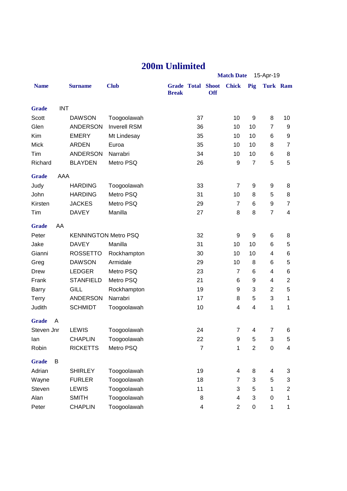#### **200m Unlimited**

|              |            |                             |                     |              |                          | <b>Match Date</b><br>15-Apr-19 |                |                |                         |                         |  |
|--------------|------------|-----------------------------|---------------------|--------------|--------------------------|--------------------------------|----------------|----------------|-------------------------|-------------------------|--|
| <b>Name</b>  |            | <b>Surname</b>              | <b>Club</b>         | <b>Break</b> | <b>Grade Total Shoot</b> | <b>Off</b>                     | <b>Chick</b>   | Pig            | Turk Ram                |                         |  |
| <b>Grade</b> | <b>INT</b> |                             |                     |              |                          |                                |                |                |                         |                         |  |
| Scott        |            | <b>DAWSON</b>               | Toogoolawah         |              | 37                       |                                | 10             | 9              | 8                       | 10                      |  |
| Glen         |            | <b>ANDERSON</b>             | <b>Inverell RSM</b> |              | 36                       |                                | 10             | 10             | $\overline{7}$          | 9                       |  |
| Kim          |            | <b>EMERY</b>                | Mt Lindesay         |              | 35                       |                                | 10             | 10             | 6                       | 9                       |  |
| <b>Mick</b>  |            | <b>ARDEN</b>                | Euroa               |              | 35                       |                                | 10             | 10             | 8                       | $\overline{7}$          |  |
| Tim          |            | <b>ANDERSON</b>             | Narrabri            |              | 34                       |                                | 10             | 10             | 6                       | 8                       |  |
| Richard      |            | <b>BLAYDEN</b>              | Metro PSQ           |              | 26                       |                                | 9              | $\overline{7}$ | 5                       | 5                       |  |
| <b>Grade</b> | AAA        |                             |                     |              |                          |                                |                |                |                         |                         |  |
| Judy         |            | <b>HARDING</b>              | Toogoolawah         |              | 33                       |                                | $\overline{7}$ | 9              | 9                       | 8                       |  |
| John         |            | <b>HARDING</b>              | Metro PSQ           |              | 31                       |                                | 10             | 8              | 5                       | 8                       |  |
| Kirsten      |            | <b>JACKES</b>               | Metro PSQ           |              | 29                       |                                | 7              | 6              | 9                       | $\overline{7}$          |  |
| Tim          |            | <b>DAVEY</b>                | Manilla             |              | 27                       |                                | 8              | 8              | $\overline{7}$          | 4                       |  |
| <b>Grade</b> | AA         |                             |                     |              |                          |                                |                |                |                         |                         |  |
| Peter        |            | <b>KENNINGTON Metro PSQ</b> |                     |              | 32                       |                                | 9              | 9              | 6                       | 8                       |  |
| Jake         |            | <b>DAVEY</b>                | Manilla             |              | 31                       |                                | 10             | 10             | 6                       | 5                       |  |
| Gianni       |            | <b>ROSSETTO</b>             | Rockhampton         |              | 30                       |                                | 10             | 10             | 4                       | 6                       |  |
| Greg         |            | <b>DAWSON</b>               | Armidale            |              | 29                       |                                | 10             | 8              | 6                       | 5                       |  |
| Drew         |            | <b>LEDGER</b>               | Metro PSQ           |              | 23                       |                                | $\overline{7}$ | 6              | 4                       | 6                       |  |
| Frank        |            | <b>STANFIELD</b>            | Metro PSQ           |              | 21                       |                                | 6              | 9              | 4                       | $\mathbf{2}$            |  |
| <b>Barry</b> |            | <b>GILL</b>                 | Rockhampton         |              | 19                       |                                | 9              | 3              | $\overline{\mathbf{c}}$ | 5                       |  |
| <b>Terry</b> |            | <b>ANDERSON</b>             | Narrabri            |              | 17                       |                                | 8              | 5              | 3                       | $\mathbf 1$             |  |
| Judith       |            | <b>SCHMIDT</b>              | Toogoolawah         |              | 10                       |                                | 4              | 4              | 1                       | $\mathbf{1}$            |  |
| <b>Grade</b> | A          |                             |                     |              |                          |                                |                |                |                         |                         |  |
| Steven Jnr   |            | <b>LEWIS</b>                | Toogoolawah         |              | 24                       |                                | 7              | 4              | $\overline{7}$          | 6                       |  |
| lan          |            | <b>CHAPLIN</b>              | Toogoolawah         |              | 22                       |                                | 9              | 5              | 3                       | 5                       |  |
| Robin        |            | <b>RICKETTS</b>             | Metro PSQ           |              | $\overline{7}$           |                                | 1              | $\overline{c}$ | 0                       | $\overline{\mathbf{4}}$ |  |
| <b>Grade</b> | B          |                             |                     |              |                          |                                |                |                |                         |                         |  |
| Adrian       |            | <b>SHIRLEY</b>              | Toogoolawah         |              | 19                       |                                | 4              | 8              | 4                       | 3                       |  |
| Wayne        |            | <b>FURLER</b>               | Toogoolawah         |              | 18                       |                                | $\overline{7}$ | 3              | 5                       | 3                       |  |
| Steven       |            | LEWIS                       | Toogoolawah         |              | 11                       |                                | 3              | 5              | 1                       | $\overline{2}$          |  |
| Alan         |            | <b>SMITH</b>                | Toogoolawah         |              | 8                        |                                | 4              | 3              | 0                       | $\mathbf 1$             |  |
| Peter        |            | <b>CHAPLIN</b>              | Toogoolawah         |              | 4                        |                                | $\overline{c}$ | $\pmb{0}$      | 1                       | $\mathbf{1}$            |  |